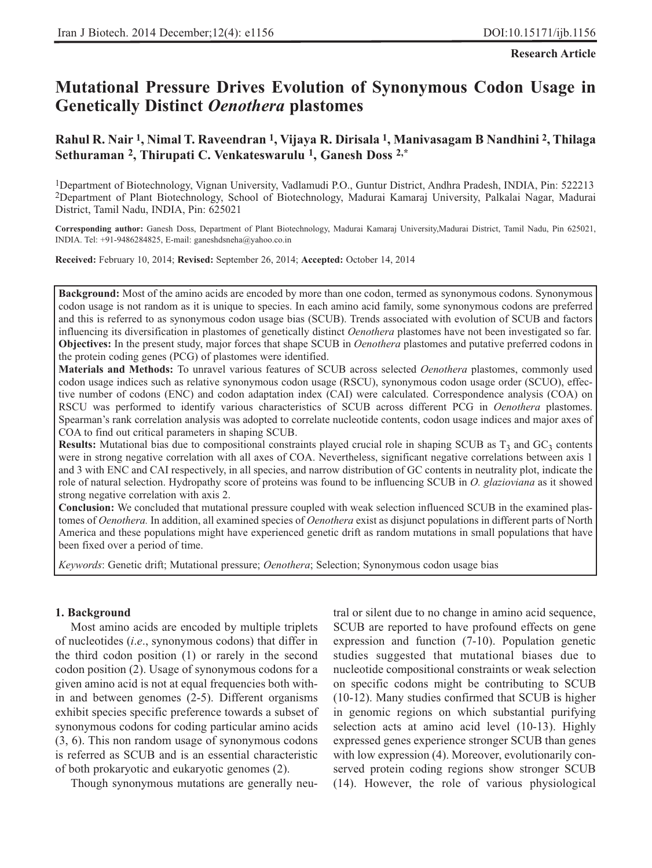# **Mutational Pressure Drives Evolution of Synonymous Codon Usage in Genetically Distinct** *Oenothera* **plastomes**

# **Rahul R. Nair 1, Nimal T. Raveendran 1, Vijaya R. Dirisala 1, Manivasagam B Nandhini 2, Thilaga Sethuraman 2, Thirupati C. Venkateswarulu 1, Ganesh Doss 2,\***

1Department of Biotechnology, Vignan University, Vadlamudi P.O., Guntur District, Andhra Pradesh, INDIA, Pin: 522213 2Department of Plant Biotechnology, School of Biotechnology, Madurai Kamaraj University, Palkalai Nagar, Madurai District, Tamil Nadu, INDIA, Pin: 625021

**Corresponding author:** Ganesh Doss, Department of Plant Biotechnology, Madurai Kamaraj University,Madurai District, Tamil Nadu, Pin 625021, INDIA. Tel: +91-9486284825, E-mail: ganeshdsneha@yahoo.co.in

**Received:** February 10, 2014; **Revised:** September 26, 2014; **Accepted:** October 14, 2014

**Background:** Most of the amino acids are encoded by more than one codon, termed as synonymous codons. Synonymous codon usage is not random as it is unique to species. In each amino acid family, some synonymous codons are preferred and this is referred to as synonymous codon usage bias (SCUB). Trends associated with evolution of SCUB and factors influencing its diversification in plastomes of genetically distinct *Oenothera* plastomes have not been investigated so far. **Objectives:** In the present study, major forces that shape SCUB in *Oenothera* plastomes and putative preferred codons in the protein coding genes (PCG) of plastomes were identified.

**Materials and Methods:** To unravel various features of SCUB across selected *Oenothera* plastomes, commonly used codon usage indices such as relative synonymous codon usage (RSCU), synonymous codon usage order (SCUO), effective number of codons (ENC) and codon adaptation index (CAI) were calculated. Correspondence analysis (COA) on RSCU was performed to identify various characteristics of SCUB across different PCG in *Oenothera* plastomes. Spearman's rank correlation analysis was adopted to correlate nucleotide contents, codon usage indices and major axes of COA to find out critical parameters in shaping SCUB.

**Results:** Mutational bias due to compositional constraints played crucial role in shaping SCUB as  $T_3$  and  $GC_3$  contents were in strong negative correlation with all axes of COA. Nevertheless, significant negative correlations between axis 1 and 3 with ENC and CAI respectively, in all species, and narrow distribution of GC contents in neutrality plot, indicate the role of natural selection. Hydropathy score of proteins was found to be influencing SCUB in *O. glazioviana* as it showed strong negative correlation with axis 2.

**Conclusion:** We concluded that mutational pressure coupled with weak selection influenced SCUB in the examined plastomes of *Oenothera.* In addition, all examined species of *Oenothera* exist as disjunct populations in different parts of North America and these populations might have experienced genetic drift as random mutations in small populations that have been fixed over a period of time.

*Keywords*: Genetic drift; Mutational pressure; *Oenothera*; Selection; Synonymous codon usage bias

## **1. Background**

Most amino acids are encoded by multiple triplets of nucleotides (*i*.*e*., synonymous codons) that differ in the third codon position (1) or rarely in the second codon position (2). Usage of synonymous codons for a given amino acid is not at equal frequencies both within and between genomes (2-5). Different organisms exhibit species specific preference towards a subset of synonymous codons for coding particular amino acids (3, 6). This non random usage of synonymous codons is referred as SCUB and is an essential characteristic of both prokaryotic and eukaryotic genomes (2).

Though synonymous mutations are generally neu-

tral or silent due to no change in amino acid sequence, SCUB are reported to have profound effects on gene expression and function (7-10). Population genetic studies suggested that mutational biases due to nucleotide compositional constraints or weak selection on specific codons might be contributing to SCUB (10-12). Many studies confirmed that SCUB is higher in genomic regions on which substantial purifying selection acts at amino acid level (10-13). Highly expressed genes experience stronger SCUB than genes with low expression (4). Moreover, evolutionarily conserved protein coding regions show stronger SCUB (14). However, the role of various physiological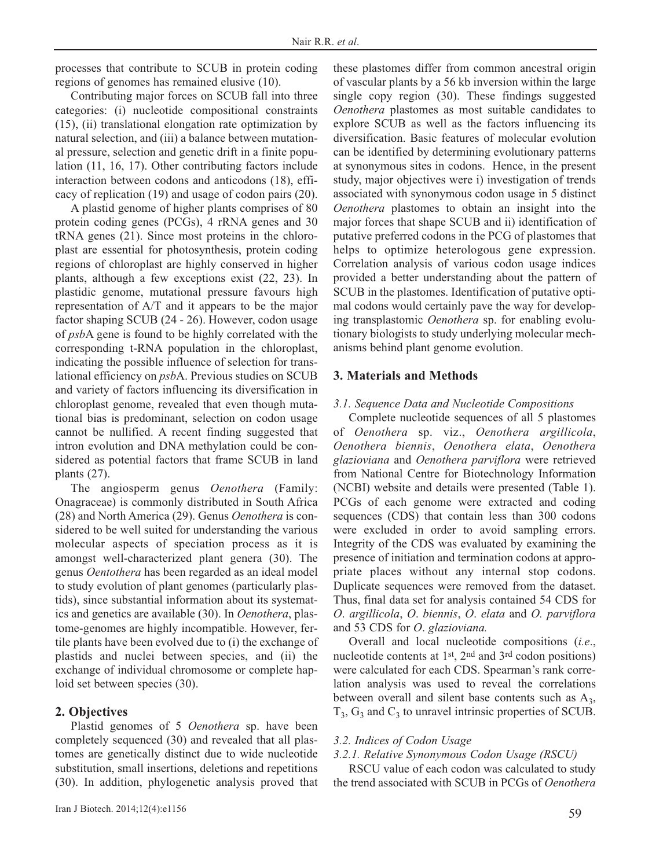processes that contribute to SCUB in protein coding regions of genomes has remained elusive (10).

Contributing major forces on SCUB fall into three categories: (i) nucleotide compositional constraints (15), (ii) translational elongation rate optimization by natural selection, and (iii) a balance between mutational pressure, selection and genetic drift in a finite population (11, 16, 17). Other contributing factors include interaction between codons and anticodons (18), efficacy of replication (19) and usage of codon pairs (20).

A plastid genome of higher plants comprises of 80 protein coding genes (PCGs), 4 rRNA genes and 30 tRNA genes (21). Since most proteins in the chloroplast are essential for photosynthesis, protein coding regions of chloroplast are highly conserved in higher plants, although a few exceptions exist (22, 23). In plastidic genome, mutational pressure favours high representation of A/T and it appears to be the major factor shaping SCUB (24 - 26). However, codon usage of *psb*A gene is found to be highly correlated with the corresponding t-RNA population in the chloroplast, indicating the possible influence of selection for translational efficiency on *psb*A. Previous studies on SCUB and variety of factors influencing its diversification in chloroplast genome, revealed that even though mutational bias is predominant, selection on codon usage cannot be nullified. A recent finding suggested that intron evolution and DNA methylation could be considered as potential factors that frame SCUB in land plants (27).

The angiosperm genus *Oenothera* (Family: Onagraceae) is commonly distributed in South Africa (28) and North America (29). Genus *Oenothera* is considered to be well suited for understanding the various molecular aspects of speciation process as it is amongst well-characterized plant genera (30). The genus *Oentothera* has been regarded as an ideal model to study evolution of plant genomes (particularly plastids), since substantial information about its systematics and genetics are available (30). In *Oenothera*, plastome-genomes are highly incompatible. However, fertile plants have been evolved due to (i) the exchange of plastids and nuclei between species, and (ii) the exchange of individual chromosome or complete haploid set between species (30).

## **2. Objectives**

Plastid genomes of 5 *Oenothera* sp. have been completely sequenced (30) and revealed that all plastomes are genetically distinct due to wide nucleotide substitution, small insertions, deletions and repetitions (30). In addition, phylogenetic analysis proved that these plastomes differ from common ancestral origin of vascular plants by a 56 kb inversion within the large single copy region (30). These findings suggested *Oenothera* plastomes as most suitable candidates to explore SCUB as well as the factors influencing its diversification. Basic features of molecular evolution can be identified by determining evolutionary patterns at synonymous sites in codons. Hence, in the present study, major objectives were i) investigation of trends associated with synonymous codon usage in 5 distinct *Oenothera* plastomes to obtain an insight into the major forces that shape SCUB and ii) identification of putative preferred codons in the PCG of plastomes that helps to optimize heterologous gene expression. Correlation analysis of various codon usage indices provided a better understanding about the pattern of SCUB in the plastomes. Identification of putative optimal codons would certainly pave the way for developing transplastomic *Oenothera* sp. for enabling evolutionary biologists to study underlying molecular mechanisms behind plant genome evolution.

## **3. Materials and Methods**

#### *3.1. Sequence Data and Nucleotide Compositions*

Complete nucleotide sequences of all 5 plastomes of *Oenothera* sp. viz., *Oenothera argillicola*, *Oenothera biennis*, *Oenothera elata*, *Oenothera glazioviana* and *Oenothera parviflora* were retrieved from National Centre for Biotechnology Information (NCBI) website and details were presented (Table 1). PCGs of each genome were extracted and coding sequences (CDS) that contain less than 300 codons were excluded in order to avoid sampling errors. Integrity of the CDS was evaluated by examining the presence of initiation and termination codons at appropriate places without any internal stop codons. Duplicate sequences were removed from the dataset. Thus, final data set for analysis contained 54 CDS for *O*. *argillicola*, *O*. *biennis*, *O*. *elata* and *O. parviflora* and 53 CDS for *O*. *glazioviana.*

Overall and local nucleotide compositions (*i.e*., nucleotide contents at 1st, 2nd and 3rd codon positions) were calculated for each CDS. Spearman's rank correlation analysis was used to reveal the correlations between overall and silent base contents such as  $A_3$ ,  $T_3$ ,  $G_3$  and  $C_3$  to unravel intrinsic properties of SCUB.

#### *3.2. Indices of Codon Usage*

*3.2.1. Relative Synonymous Codon Usage (RSCU)*

RSCU value of each codon was calculated to study the trend associated with SCUB in PCGs of *Oenothera*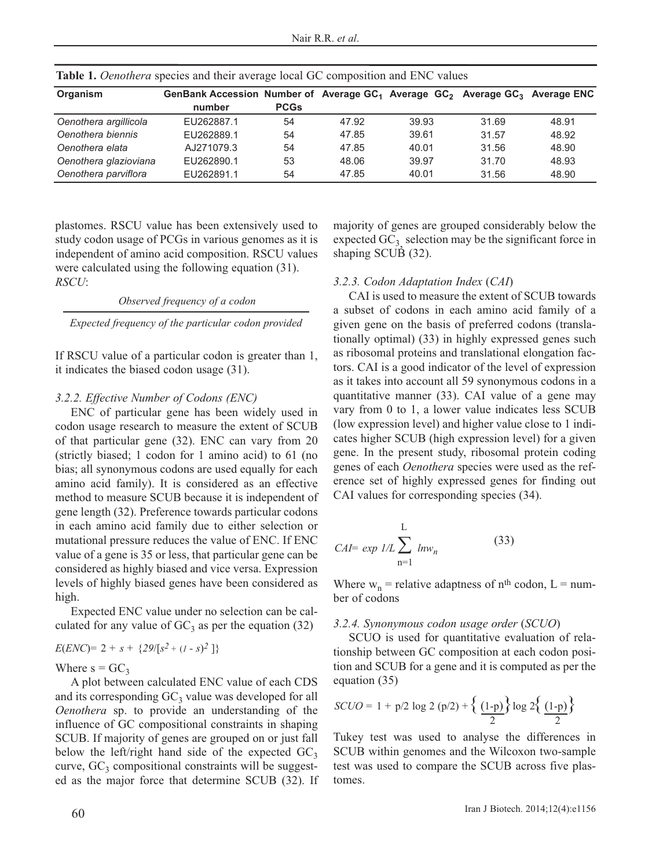| <b>Organism</b>       | GenBank Accession Number of Average GC <sub>1</sub> Average GC <sub>2</sub> Average GC <sub>3</sub> Average ENC |             |       |       |       |       |
|-----------------------|-----------------------------------------------------------------------------------------------------------------|-------------|-------|-------|-------|-------|
|                       | number                                                                                                          | <b>PCGs</b> |       |       |       |       |
| Oenothera argillicola | EU262887.1                                                                                                      | 54          | 47.92 | 39.93 | 31.69 | 48.91 |
| Oenothera biennis     | EU262889.1                                                                                                      | 54          | 47.85 | 39.61 | 31.57 | 48.92 |
| Oenothera elata       | AJ271079.3                                                                                                      | 54          | 47.85 | 40.01 | 31.56 | 48.90 |
| Oenothera glazioviana | EU262890.1                                                                                                      | 53          | 48.06 | 39.97 | 31.70 | 48.93 |
| Oenothera parviflora  | EU262891.1                                                                                                      | 54          | 47.85 | 40.01 | 31.56 | 48.90 |

**Table 1.** *Oenothera* species and their average local GC composition and ENC values

plastomes. RSCU value has been extensively used to study codon usage of PCGs in various genomes as it is independent of amino acid composition. RSCU values were calculated using the following equation (31). *RSCU*:

*Observed frequency of a codon*

*Expected frequency of the particular codon provided*

If RSCU value of a particular codon is greater than 1, it indicates the biased codon usage (31).

## *3.2.2. Effective Number of Codons (ENC)*

ENC of particular gene has been widely used in codon usage research to measure the extent of SCUB of that particular gene (32). ENC can vary from 20 (strictly biased; 1 codon for 1 amino acid) to 61 (no bias; all synonymous codons are used equally for each amino acid family). It is considered as an effective method to measure SCUB because it is independent of gene length (32). Preference towards particular codons in each amino acid family due to either selection or mutational pressure reduces the value of ENC. If ENC value of a gene is 35 or less, that particular gene can be considered as highly biased and vice versa. Expression levels of highly biased genes have been considered as high.

Expected ENC value under no selection can be calculated for any value of  $GC_3$  as per the equation (32)

$$
E(ENC) = 2 + s + \{29/[s^2 + (1-s)^2]\}
$$

# Where  $s = GC_3$

A plot between calculated ENC value of each CDS and its corresponding  $GC_3$  value was developed for all *Oenothera* sp. to provide an understanding of the influence of GC compositional constraints in shaping SCUB. If majority of genes are grouped on or just fall below the left/right hand side of the expected  $GC_3$ curve,  $GC_3$  compositional constraints will be suggested as the major force that determine SCUB (32). If majority of genes are grouped considerably below the expected  $GC_3$  selection may be the significant force in shaping SCUB (32).

# *3.2.3. Codon Adaptation Index* (*CAI*)

CAI is used to measure the extent of SCUB towards a subset of codons in each amino acid family of a given gene on the basis of preferred codons (translationally optimal) (33) in highly expressed genes such as ribosomal proteins and translational elongation factors. CAI is a good indicator of the level of expression as it takes into account all 59 synonymous codons in a quantitative manner (33). CAI value of a gene may vary from 0 to 1, a lower value indicates less SCUB (low expression level) and higher value close to 1 indicates higher SCUB (high expression level) for a given gene. In the present study, ribosomal protein coding genes of each *Oenothera* species were used as the reference set of highly expressed genes for finding out CAI values for corresponding species (34).

$$
CAI = exp 1/L \sum_{n=1}^{L} ln w_n
$$
 (33)

Where  $w_n$  = relative adaptness of n<sup>th</sup> codon, L = number of codons

## *3.2.4. Synonymous codon usage order* (*SCUO*)

SCUO is used for quantitative evaluation of relationship between GC composition at each codon position and SCUB for a gene and it is computed as per the equation (35)

$$
SCUO = 1 + p/2 \log 2 (p/2) + \left\{ \frac{(1-p)}{2} \right\} \log 2 \left\{ \frac{(1-p)}{2} \right\}
$$

Tukey test was used to analyse the differences in SCUB within genomes and the Wilcoxon two-sample test was used to compare the SCUB across five plastomes.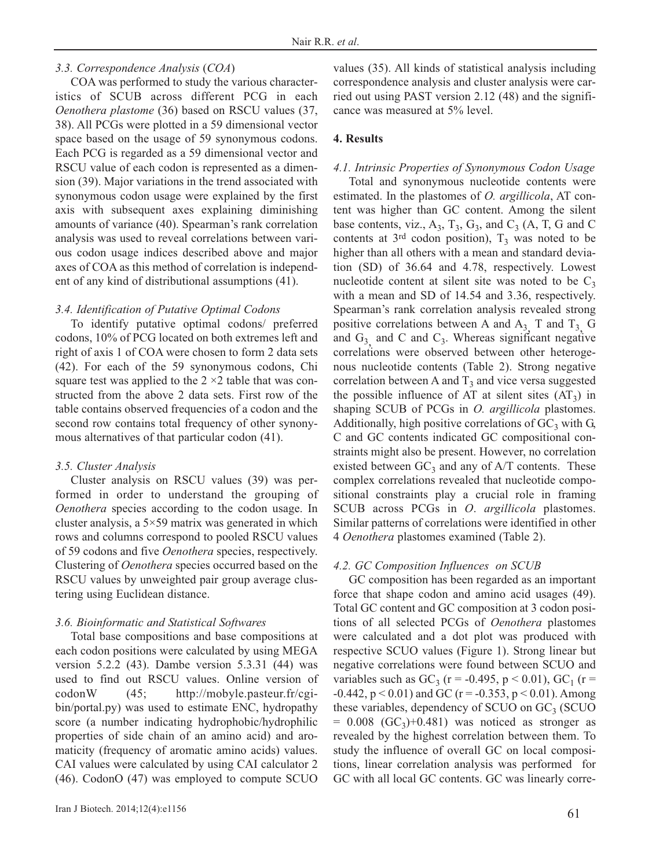## *3.3. Correspondence Analysis* (*COA*)

COA was performed to study the various characteristics of SCUB across different PCG in each *Oenothera plastome* (36) based on RSCU values (37, 38). All PCGs were plotted in a 59 dimensional vector space based on the usage of 59 synonymous codons. Each PCG is regarded as a 59 dimensional vector and RSCU value of each codon is represented as a dimension (39). Major variations in the trend associated with synonymous codon usage were explained by the first axis with subsequent axes explaining diminishing amounts of variance (40). Spearman's rank correlation analysis was used to reveal correlations between various codon usage indices described above and major axes of COA as this method of correlation is independent of any kind of distributional assumptions (41).

## *3.4. Identification of Putative Optimal Codons*

To identify putative optimal codons/ preferred codons, 10% of PCG located on both extremes left and right of axis 1 of COA were chosen to form 2 data sets (42). For each of the 59 synonymous codons, Chi square test was applied to the  $2 \times 2$  table that was constructed from the above 2 data sets. First row of the table contains observed frequencies of a codon and the second row contains total frequency of other synonymous alternatives of that particular codon (41).

#### *3.5. Cluster Analysis*

Cluster analysis on RSCU values (39) was performed in order to understand the grouping of *Oenothera* species according to the codon usage. In cluster analysis, a  $5 \times 59$  matrix was generated in which rows and columns correspond to pooled RSCU values of 59 codons and five *Oenothera* species, respectively. Clustering of *Oenothera* species occurred based on the RSCU values by unweighted pair group average clustering using Euclidean distance.

#### *3.6. Bioinformatic and Statistical Softwares*

Total base compositions and base compositions at each codon positions were calculated by using MEGA version 5.2.2 (43). Dambe version 5.3.31 (44) was used to find out RSCU values. Online version of codonW (45; http://mobyle.pasteur.fr/cgibin/portal.py) was used to estimate ENC, hydropathy score (a number indicating hydrophobic/hydrophilic properties of side chain of an amino acid) and aromaticity (frequency of aromatic amino acids) values. CAI values were calculated by using CAI calculator 2 (46). CodonO (47) was employed to compute SCUO values (35). All kinds of statistical analysis including correspondence analysis and cluster analysis were carried out using PAST version 2.12 (48) and the significance was measured at 5% level.

#### **4. Results**

## *4.1. Intrinsic Properties of Synonymous Codon Usage*

Total and synonymous nucleotide contents were estimated. In the plastomes of *O. argillicola*, AT content was higher than GC content. Among the silent base contents, viz.,  $A_3$ ,  $T_3$ ,  $G_3$ , and  $C_3$  (A, T, G and C contents at  $3<sup>rd</sup>$  codon position),  $T_3$  was noted to be higher than all others with a mean and standard deviation (SD) of 36.64 and 4.78, respectively. Lowest nucleotide content at silent site was noted to be  $C_3$ with a mean and SD of 14.54 and 3.36, respectively. Spearman's rank correlation analysis revealed strong positive correlations between A and  $A_3$  T and  $T_3$  G and  $G_3$  and C and  $C_3$ . Whereas significant negative correlations were observed between other heterogenous nucleotide contents (Table 2). Strong negative correlation between A and  $T_3$  and vice versa suggested the possible influence of AT at silent sites  $(AT_3)$  in shaping SCUB of PCGs in *O. argillicola* plastomes. Additionally, high positive correlations of  $GC_3$  with  $G_2$ C and GC contents indicated GC compositional constraints might also be present. However, no correlation existed between  $GC_3$  and any of  $A/T$  contents. These complex correlations revealed that nucleotide compositional constraints play a crucial role in framing SCUB across PCGs in *O*. *argillicola* plastomes. Similar patterns of correlations were identified in other 4 *Oenothera* plastomes examined (Table 2).

#### *4.2. GC Composition Influences on SCUB*

GC composition has been regarded as an important force that shape codon and amino acid usages (49). Total GC content and GC composition at 3 codon positions of all selected PCGs of *Oenothera* plastomes were calculated and a dot plot was produced with respective SCUO values (Figure 1). Strong linear but negative correlations were found between SCUO and variables such as  $GC_3$  (r = -0.495, p < 0.01),  $GC_1$  (r =  $-0.442$ ,  $p < 0.01$ ) and GC (r =  $-0.353$ ,  $p < 0.01$ ). Among these variables, dependency of SCUO on  $GC<sub>3</sub>$  (SCUO  $= 0.008$  (GC<sub>3</sub>)+0.481) was noticed as stronger as revealed by the highest correlation between them. To study the influence of overall GC on local compositions, linear correlation analysis was performed for GC with all local GC contents. GC was linearly corre-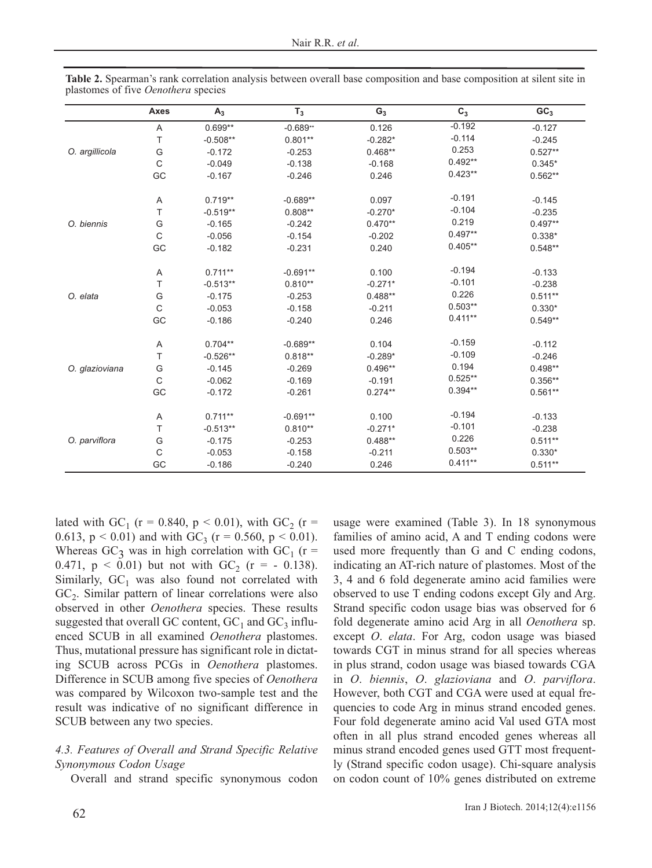|                | Axes        | $A_3$      | $T_3$      | $G_3$     | $C_3$     | GC <sub>3</sub> |
|----------------|-------------|------------|------------|-----------|-----------|-----------------|
|                | A           | $0.699**$  | $-0.689**$ | 0.126     | $-0.192$  | $-0.127$        |
|                | T           | $-0.508**$ | $0.801**$  | $-0.282*$ | $-0.114$  | $-0.245$        |
| O. argillicola | G           | $-0.172$   | $-0.253$   | $0.468**$ | 0.253     | $0.527**$       |
|                | $\mathsf C$ | $-0.049$   | $-0.138$   | $-0.168$  | $0.492**$ | $0.345*$        |
|                | GC          | $-0.167$   | $-0.246$   | 0.246     | $0.423**$ | $0.562**$       |
|                | A           | $0.719**$  | $-0.689**$ | 0.097     | $-0.191$  | $-0.145$        |
|                | T           | $-0.519**$ | $0.808**$  | $-0.270*$ | $-0.104$  | $-0.235$        |
| O. biennis     | G           | $-0.165$   | $-0.242$   | $0.470**$ | 0.219     | $0.497**$       |
|                | C           | $-0.056$   | $-0.154$   | $-0.202$  | $0.497**$ | $0.338*$        |
|                | GC          | $-0.182$   | $-0.231$   | 0.240     | $0.405**$ | $0.548**$       |
|                | Α           | $0.711**$  | $-0.691**$ | 0.100     | $-0.194$  | $-0.133$        |
|                | T           | $-0.513**$ | $0.810**$  | $-0.271*$ | $-0.101$  | $-0.238$        |
| O. elata       | G           | $-0.175$   | $-0.253$   | $0.488**$ | 0.226     | $0.511**$       |
|                | C           | $-0.053$   | $-0.158$   | $-0.211$  | $0.503**$ | $0.330*$        |
|                | GC          | $-0.186$   | $-0.240$   | 0.246     | $0.411**$ | $0.549**$       |
|                | Α           | $0.704**$  | $-0.689**$ | 0.104     | $-0.159$  | $-0.112$        |
|                | T           | $-0.526**$ | $0.818**$  | $-0.289*$ | $-0.109$  | $-0.246$        |
| O. glazioviana | G           | $-0.145$   | $-0.269$   | $0.496**$ | 0.194     | $0.498**$       |
|                | C           | $-0.062$   | $-0.169$   | $-0.191$  | $0.525**$ | $0.356**$       |
|                | GC          | $-0.172$   | $-0.261$   | $0.274**$ | $0.394**$ | $0.561**$       |
|                | Α           | $0.711**$  | $-0.691**$ | 0.100     | $-0.194$  | $-0.133$        |
|                | T           | $-0.513**$ | $0.810**$  | $-0.271*$ | $-0.101$  | $-0.238$        |
| O. parviflora  | G           | $-0.175$   | $-0.253$   | $0.488**$ | 0.226     | $0.511**$       |
|                | C           | $-0.053$   | $-0.158$   | $-0.211$  | $0.503**$ | $0.330*$        |
|                | GC          | $-0.186$   | $-0.240$   | 0.246     | $0.411**$ | $0.511**$       |

**Table 2.** Spearman's rank correlation analysis between overall base composition and base composition at silent site in plastomes of five *Oenothera* species

lated with GC<sub>1</sub> (r = 0.840, p < 0.01), with GC<sub>2</sub> (r = 0.613,  $p < 0.01$ ) and with GC<sub>3</sub> ( $r = 0.560$ ,  $p < 0.01$ ). Whereas  $GC_3$  was in high correlation with  $GC_1$  (r = 0.471,  $p < 0.01$ ) but not with GC<sub>2</sub> (r = - 0.138). Similarly,  $GC_1$  was also found not correlated with  $GC<sub>2</sub>$ . Similar pattern of linear correlations were also observed in other *Oenothera* species. These results suggested that overall GC content,  $GC_1$  and  $GC_3$  influenced SCUB in all examined *Oenothera* plastomes. Thus, mutational pressure has significant role in dictating SCUB across PCGs in *Oenothera* plastomes. Difference in SCUB among five species of *Oenothera* was compared by Wilcoxon two-sample test and the result was indicative of no significant difference in SCUB between any two species.

# *4.3. Features of Overall and Strand Specific Relative Synonymous Codon Usage*

Overall and strand specific synonymous codon

usage were examined (Table 3). In 18 synonymous families of amino acid, A and T ending codons were used more frequently than G and C ending codons, indicating an AT-rich nature of plastomes. Most of the 3, 4 and 6 fold degenerate amino acid families were observed to use T ending codons except Gly and Arg. Strand specific codon usage bias was observed for 6 fold degenerate amino acid Arg in all *Oenothera* sp. except *O*. *elata*. For Arg, codon usage was biased towards CGT in minus strand for all species whereas in plus strand, codon usage was biased towards CGA in *O*. *biennis*, *O*. *glazioviana* and *O*. *parviflora*. However, both CGT and CGA were used at equal frequencies to code Arg in minus strand encoded genes. Four fold degenerate amino acid Val used GTA most often in all plus strand encoded genes whereas all minus strand encoded genes used GTT most frequently (Strand specific codon usage). Chi-square analysis on codon count of 10% genes distributed on extreme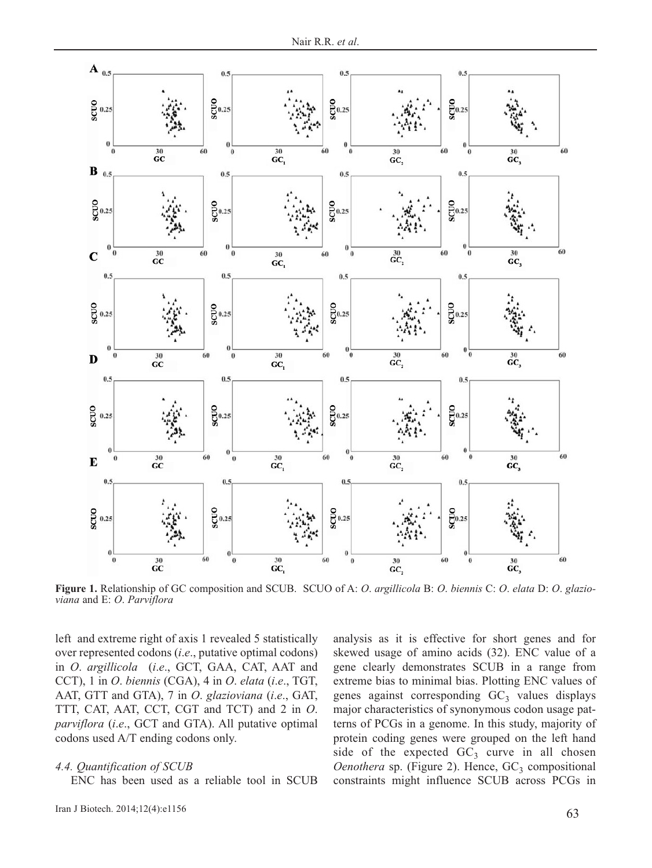

**Figure 1.** Relationship of GC composition and SCUB. SCUO of A: *O*. *argillicola* B: *O*. *biennis* C: *O*. *elata* D: *O*. *glazioviana* and E: *O*. *Parviflora*

left and extreme right of axis 1 revealed 5 statistically over represented codons (*i*.*e*., putative optimal codons) in *O*. *argillicola* (*i*.*e*., GCT, GAA, CAT, AAT and CCT), 1 in *O*. *biennis* (CGA), 4 in *O*. *elata* (*i*.*e*., TGT, AAT, GTT and GTA), 7 in *O*. *glazioviana* (*i*.*e*., GAT, TTT, CAT, AAT, CCT, CGT and TCT) and 2 in *O*. *parviflora* (*i*.*e*., GCT and GTA). All putative optimal codons used A/T ending codons only.

#### *4.4. Quantification of SCUB*

ENC has been used as a reliable tool in SCUB

63 Iran J Biotech. 2014;12(4):e1156

analysis as it is effective for short genes and for skewed usage of amino acids (32). ENC value of a gene clearly demonstrates SCUB in a range from extreme bias to minimal bias. Plotting ENC values of genes against corresponding  $GC_3$  values displays major characteristics of synonymous codon usage patterns of PCGs in a genome. In this study, majority of protein coding genes were grouped on the left hand side of the expected  $GC_3$  curve in all chosen *Oenothera sp.* (Figure 2). Hence, GC<sub>3</sub> compositional constraints might influence SCUB across PCGs in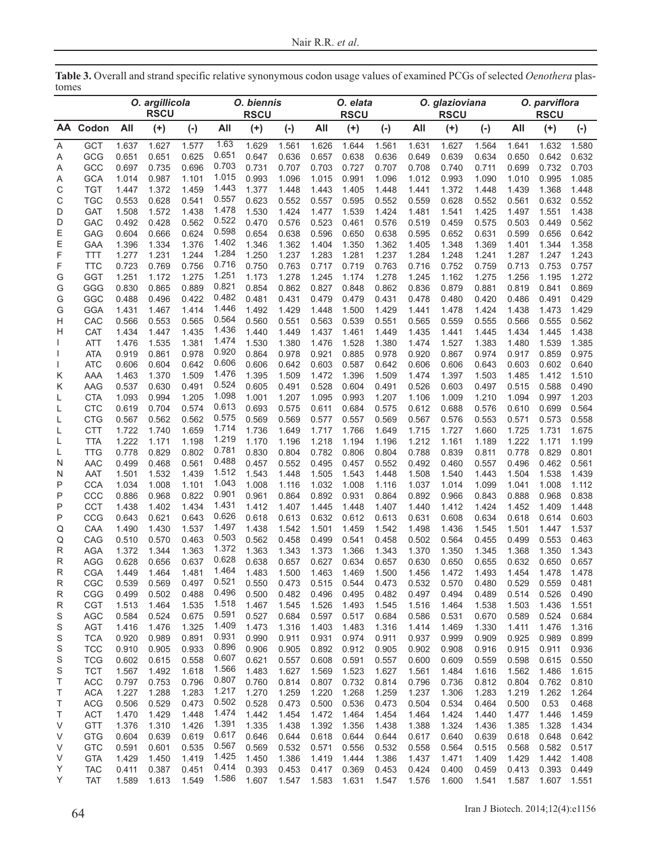|        |                          | O. argillicola<br><b>RSCU</b> |                | O. biennis<br><b>RSCU</b> |                | O. elata<br><b>RSCU</b> |                |                | O. glazioviana<br><b>RSCU</b> |                |                | O. parviflora<br><b>RSCU</b> |                |                |                |                |
|--------|--------------------------|-------------------------------|----------------|---------------------------|----------------|-------------------------|----------------|----------------|-------------------------------|----------------|----------------|------------------------------|----------------|----------------|----------------|----------------|
| AA.    | Codon                    | All                           | $^{(+)}$       | $(\cdot)$                 | All            | $(+)$                   | $(-)$          | All            | $(+)$                         | $(-)$          | All            | $(+)$                        | $(\cdot)$      | All            | $(+)$          | $(-)$          |
| Α      | GCT                      | 1.637                         | 1.627          | 1.577                     | 1.63           | 1.629                   | 1.561          | 1.626          | 1.644                         | 1.561          | 1.631          | 1.627                        | 1.564          | 1.641          | 1.632          | 1.580          |
| Α      | GCG                      | 0.651                         | 0.651          | 0.625                     | 0.651          | 0.647                   | 0.636          | 0.657          | 0.638                         | 0.636          | 0.649          | 0.639                        | 0.634          | 0.650          | 0.642          | 0.632          |
| Α      | GCC                      | 0.697                         | 0.735          | 0.696                     | 0.703          | 0.731                   | 0.707          | 0.703          | 0.727                         | 0.707          | 0.708          | 0.740                        | 0.711          | 0.699          | 0.732          | 0.703          |
| Α      | <b>GCA</b>               | 1.014                         | 0.987          | 1.101                     | 1.015          | 0.993                   | 1.096          | 1.015          | 0.991                         | 1.096          | 1.012          | 0.993                        | 1.090          | 1.010          | 0.995          | 1.085          |
| С      | <b>TGT</b>               | 1.447                         | 1.372          | 1.459                     | 1.443          | 1.377                   | 1.448          | 1.443          | 1.405                         | 1.448          | 1.441          | 1.372                        | 1.448          | 1.439          | 1.368          | 1.448          |
| С      | <b>TGC</b>               | 0.553                         | 0.628          | 0.541                     | 0.557          | 0.623                   | 0.552          | 0.557          | 0.595                         | 0.552          | 0.559          | 0.628                        | 0.552          | 0.561          | 0.632          | 0.552          |
| D      | <b>GAT</b>               | 1.508                         | 1.572          | 1.438                     | 1.478          | 1.530                   | 1.424          | 1.477          | 1.539                         | 1.424          | 1.481          | 1.541                        | 1.425          | 1.497          | 1.551          | 1.438          |
| D      | GAC                      | 0.492                         | 0.428          | 0.562                     | 0.522          | 0.470                   | 0.576          | 0.523          | 0.461                         | 0.576          | 0.519          | 0.459                        | 0.575          | 0.503          | 0.449          | 0.562          |
| Ε      | GAG                      | 0.604                         | 0.666          | 0.624                     | 0.598<br>1.402 | 0.654                   | 0.638          | 0.596          | 0.650                         | 0.638          | 0.595          | 0.652                        | 0.631          | 0.599          | 0.656          | 0.642          |
| Ε      | GAA                      | 1.396                         | 1.334          | 1.376                     | 1.284          | 1.346                   | 1.362          | 1.404          | 1.350                         | 1.362          | 1.405          | 1.348                        | 1.369          | 1.401          | 1.344          | 1.358          |
| F      | <b>TTT</b>               | 1.277                         | 1.231          | 1.244                     | 0.716          | 1.250                   | 1.237          | 1.283          | 1.281                         | 1.237          | 1.284          | 1.248                        | 1.241          | 1.287          | 1.247          | 1.243          |
| F      | <b>TTC</b><br><b>GGT</b> | 0.723                         | 0.769          | 0.756                     | 1.251          | 0.750                   | 0.763          | 0.717          | 0.719                         | 0.763          | 0.716          | 0.752                        | 0.759          | 0.713          | 0.753          | 0.757<br>1.272 |
| G<br>G | GGG                      | 1.251<br>0.830                | 1.172<br>0.865 | 1.275<br>0.889            | 0.821          | 1.173<br>0.854          | 1.278<br>0.862 | 1.245<br>0.827 | 1.174<br>0.848                | 1.278<br>0.862 | 1.245<br>0.836 | 1.162<br>0.879               | 1.275<br>0.881 | 1.256<br>0.819 | 1.195<br>0.841 | 0.869          |
| G      | GGC                      | 0.488                         | 0.496          | 0.422                     | 0.482          | 0.481                   | 0.431          | 0.479          | 0.479                         | 0.431          | 0.478          | 0.480                        | 0.420          | 0.486          | 0.491          | 0.429          |
| G      | <b>GGA</b>               | 1.431                         | 1.467          | 1.414                     | 1.446          | 1.492                   | 1.429          | 1.448          | 1.500                         | 1.429          | 1.441          | 1.478                        | 1.424          | 1.438          | 1.473          | 1.429          |
| н      | CAC                      | 0.566                         | 0.553          | 0.565                     | 0.564          | 0.560                   | 0.551          | 0.563          | 0.539                         | 0.551          | 0.565          | 0.559                        | 0.555          | 0.566          | 0.555          | 0.562          |
| Н      | CAT                      | 1.434                         | 1.447          | 1.435                     | 1.436          | 1.440                   | 1.449          | 1.437          | 1.461                         | 1.449          | 1.435          | 1.441                        | 1.445          | 1.434          | 1.445          | 1.438          |
|        | <b>ATT</b>               | 1.476                         | 1.535          | 1.381                     | 1.474          | 1.530                   | 1.380          | 1.476          | 1.528                         | 1.380          | 1.474          | 1.527                        | 1.383          | 1.480          | 1.539          | 1.385          |
| L      | <b>ATA</b>               | 0.919                         | 0.861          | 0.978                     | 0.920          | 0.864                   | 0.978          | 0.921          | 0.885                         | 0.978          | 0.920          | 0.867                        | 0.974          | 0.917          | 0.859          | 0.975          |
| I      | <b>ATC</b>               | 0.606                         | 0.604          | 0.642                     | 0.606          | 0.606                   | 0.642          | 0.603          | 0.587                         | 0.642          | 0.606          | 0.606                        | 0.643          | 0.603          | 0.602          | 0.640          |
| Κ      | AAA                      | 1.463                         | 1.370          | 1.509                     | 1.476          | 1.395                   | 1.509          | 1.472          | 1.396                         | 1.509          | 1.474          | 1.397                        | 1.503          | 1.485          | 1.412          | 1.510          |
| Κ      | AAG                      | 0.537                         | 0.630          | 0.491                     | 0.524          | 0.605                   | 0.491          | 0.528          | 0.604                         | 0.491          | 0.526          | 0.603                        | 0.497          | 0.515          | 0.588          | 0.490          |
| L      | <b>CTA</b>               | 1.093                         | 0.994          | 1.205                     | 1.098          | 1.001                   | 1.207          | 1.095          | 0.993                         | 1.207          | 1.106          | 1.009                        | 1.210          | 1.094          | 0.997          | 1.203          |
| L      | <b>CTC</b>               | 0.619                         | 0.704          | 0.574                     | 0.613          | 0.693                   | 0.575          | 0.611          | 0.684                         | 0.575          | 0.612          | 0.688                        | 0.576          | 0.610          | 0.699          | 0.564          |
| L      | <b>CTG</b>               | 0.567                         | 0.562          | 0.562                     | 0.575          | 0.569                   | 0.569          | 0.577          | 0.557                         | 0.569          | 0.567          | 0.576                        | 0.553          | 0.571          | 0.573          | 0.558          |
| L      | <b>CTT</b>               | 1.722                         | 1.740          | 1.659                     | 1.714          | 1.736                   | 1.649          | 1.717          | 1.766                         | 1.649          | 1.715          | 1.727                        | 1.660          | 1.725          | 1.731          | 1.675          |
| L      | <b>TTA</b>               | 1.222                         | 1.171          | 1.198                     | 1.219          | 1.170                   | 1.196          | 1.218          | 1.194                         | 1.196          | 1.212          | 1.161                        | 1.189          | 1.222          | 1.171          | 1.199          |
| L      | <b>TTG</b>               | 0.778                         | 0.829          | 0.802                     | 0.781          | 0.830                   | 0.804          | 0.782          | 0.806                         | 0.804          | 0.788          | 0.839                        | 0.811          | 0.778          | 0.829          | 0.801          |
| N      | <b>AAC</b>               | 0.499                         | 0.468          | 0.561                     | 0.488          | 0.457                   | 0.552          | 0.495          | 0.457                         | 0.552          | 0.492          | 0.460                        | 0.557          | 0.496          | 0.462          | 0.561          |
| N      | AAT                      | 1.501                         | 1.532          | 1.439                     | 1.512          | 1.543                   | 1.448          | 1.505          | 1.543                         | 1.448          | 1.508          | 1.540                        | 1.443          | 1.504          | 1.538          | 1.439          |
| Ρ      | <b>CCA</b>               | 1.034                         | 1.008          | 1.101                     | 1.043          | 1.008                   | 1.116          | 1.032          | 1.008                         | 1.116          | 1.037          | 1.014                        | 1.099          | 1.041          | 1.008          | 1.112          |
| Ρ      | CCC                      | 0.886                         | 0.968          | 0.822                     | 0.901          | 0.961                   | 0.864          | 0.892          | 0.931                         | 0.864          | 0.892          | 0.966                        | 0.843          | 0.888          | 0.968          | 0.838          |
| Ρ      | <b>CCT</b>               | 1.438                         | 1.402          | 1.434                     | 1.431<br>0.626 | 1.412                   | 1.407          | 1.445          | 1.448                         | 1.407          | 1.440          | 1.412                        | 1.424          | 1.452          | 1.409          | 1.448          |
| Ρ      | CCG                      | 0.643                         | 0.621          | 0.643                     | 1.497          | 0.618                   | 0.613          | 0.632          | 0.612                         | 0.613          | 0.631          | 0.608                        | 0.634          | 0.618          | 0.614          | 0.603          |
| Q<br>Q | CAA<br>CAG               | 1.490<br>0.510                | 1.430<br>0.570 | 1.537<br>0.463            | 0.503          | 1.438<br>0.562          | 1.542<br>0.458 | 1.501<br>0.499 | 1.459<br>0.541                | 1.542<br>0.458 | 1.498<br>0.502 | 1.436<br>0.564               | 1.545<br>0.455 | 1.501<br>0.499 | 1.447<br>0.553 | 1.537<br>0.463 |
| R      | <b>AGA</b>               | 1.372                         | 1.344          | 1.363                     | 1.372          | 1.363                   | 1.343          | 1.373          | 1.366                         | 1.343          | 1.370          | 1.350                        | 1.345          | 1.368          | 1.350          | 1.343          |
| R      | <b>AGG</b>               | 0.628                         | 0.656          | 0.637                     | 0.628          | 0.638                   | 0.657          | 0.627          | 0.634                         | 0.657          | 0.630          | 0.650                        | 0.655          | 0.632          | 0.650          | 0.657          |
| R      | <b>CGA</b>               | 1.449                         | 1.464          | 1.481                     | 1.464          | 1.483                   | 1.500          | 1.463          | 1.469                         | 1.500          | 1.456          | 1.472                        | 1.493          | 1.454          | 1.478          | 1.478          |
| R      | CGC                      | 0.539                         | 0.569          | 0.497                     | 0.521          | 0.550                   | 0.473          | 0.515          | 0.544                         | 0.473          | 0.532          | 0.570                        | 0.480          | 0.529          | 0.559          | 0.481          |
| R      | CGG                      | 0.499                         | 0.502          | 0.488                     | 0.496          | 0.500                   | 0.482          | 0.496          | 0.495                         | 0.482          | 0.497          | 0.494                        | 0.489          | 0.514          | 0.526          | 0.490          |
| R      | CGT                      | 1.513                         | 1.464          | 1.535                     | 1.518          | 1.467                   | 1.545          | 1.526          | 1.493                         | 1.545          | 1.516          | 1.464                        | 1.538          | 1.503          | 1.436          | 1.551          |
| S      | AGC                      | 0.584                         | 0.524          | 0.675                     | 0.591          | 0.527                   | 0.684          | 0.597          | 0.517                         | 0.684          | 0.586          | 0.531                        | 0.670          | 0.589          | 0.524          | 0.684          |
| S      | <b>AGT</b>               | 1.416                         | 1.476          | 1.325                     | 1.409          | 1.473                   | 1.316          | 1.403          | 1.483                         | 1.316          | 1.414          | 1.469                        | 1.330          | 1.411          | 1.476          | 1.316          |
| S      | <b>TCA</b>               | 0.920                         | 0.989          | 0.891                     | 0.931          | 0.990                   | 0.911          | 0.931          | 0.974                         | 0.911          | 0.937          | 0.999                        | 0.909          | 0.925          | 0.989          | 0.899          |
| S      | <b>TCC</b>               | 0.910                         | 0.905          | 0.933                     | 0.896          | 0.906                   | 0.905          | 0.892          | 0.912                         | 0.905          | 0.902          | 0.908                        | 0.916          | 0.915          | 0.911          | 0.936          |
| S      | <b>TCG</b>               | 0.602                         | 0.615          | 0.558                     | 0.607          | 0.621                   | 0.557          | 0.608          | 0.591                         | 0.557          | 0.600          | 0.609                        | 0.559          | 0.598          | 0.615          | 0.550          |
| S      | <b>TCT</b>               | 1.567                         | 1.492          | 1.618                     | 1.566          | 1.483                   | 1.627          | 1.569          | 1.523                         | 1.627          | 1.561          | 1.484                        | 1.616          | 1.562          | 1.486          | 1.615          |
| Τ      | ACC                      | 0.797                         | 0.753          | 0.796                     | 0.807          | 0.760                   | 0.814          | 0.807          | 0.732                         | 0.814          | 0.796          | 0.736                        | 0.812          | 0.804          | 0.762          | 0.810          |
| Τ      | <b>ACA</b>               | 1.227                         | 1.288          | 1.283                     | 1.217          | 1.270                   | 1.259          | 1.220          | 1.268                         | 1.259          | 1.237          | 1.306                        | 1.283          | 1.219          | 1.262          | 1.264          |
| Τ      | <b>ACG</b>               | 0.506                         | 0.529          | 0.473                     | 0.502          | 0.528                   | 0.473          | 0.500          | 0.536                         | 0.473          | 0.504          | 0.534                        | 0.464          | 0.500          | 0.53           | 0.468          |
| Τ      | <b>ACT</b>               | 1.470                         | 1.429          | 1.448                     | 1.474          | 1.442                   | 1.454          | 1.472          | 1.464                         | 1.454          | 1.464          | 1.424                        | 1.440          | 1.477          | 1.446          | 1.459          |
| V      | GTT                      | 1.376                         | 1.310          | 1.426                     | 1.391          | 1.335                   | 1.438          | 1.392          | 1.356                         | 1.438          | 1.388          | 1.324                        | 1.436          | 1.385          | 1.328          | 1.434          |
| V      | <b>GTG</b>               | 0.604                         | 0.639          | 0.619                     | 0.617          | 0.646                   | 0.644          | 0.618          | 0.644                         | 0.644          | 0.617          | 0.640                        | 0.639          | 0.618          | 0.648          | 0.642          |
| V      | <b>GTC</b>               | 0.591                         | 0.601          | 0.535                     | 0.567<br>1.425 | 0.569                   | 0.532          | 0.571          | 0.556                         | 0.532          | 0.558          | 0.564                        | 0.515          | 0.568          | 0.582          | 0.517          |
| V      | <b>GTA</b>               | 1.429                         | 1.450          | 1.419                     | 0.414          | 1.450                   | 1.386          | 1.419          | 1.444                         | 1.386          | 1.437          | 1.471                        | 1.409          | 1.429          | 1.442          | 1.408          |
| Υ      | <b>TAC</b>               | 0.411                         | 0.387          | 0.451                     | 1.586          | 0.393                   | 0.453          | 0.417          | 0.369                         | 0.453          | 0.424          | 0.400                        | 0.459          | 0.413          | 0.393          | 0.449          |
| Y      | <b>TAT</b>               | 1.589                         | 1.613          | 1.549                     |                | 1.607                   | 1.547          | 1.583          | 1.631                         | 1.547          | 1.576          | 1.600                        | 1.541          | 1.587          | 1.607          | 1.551          |

**Table 3.** Overall and strand specific relative synonymous codon usage values of examined PCGs of selected *Oenothera* plastomes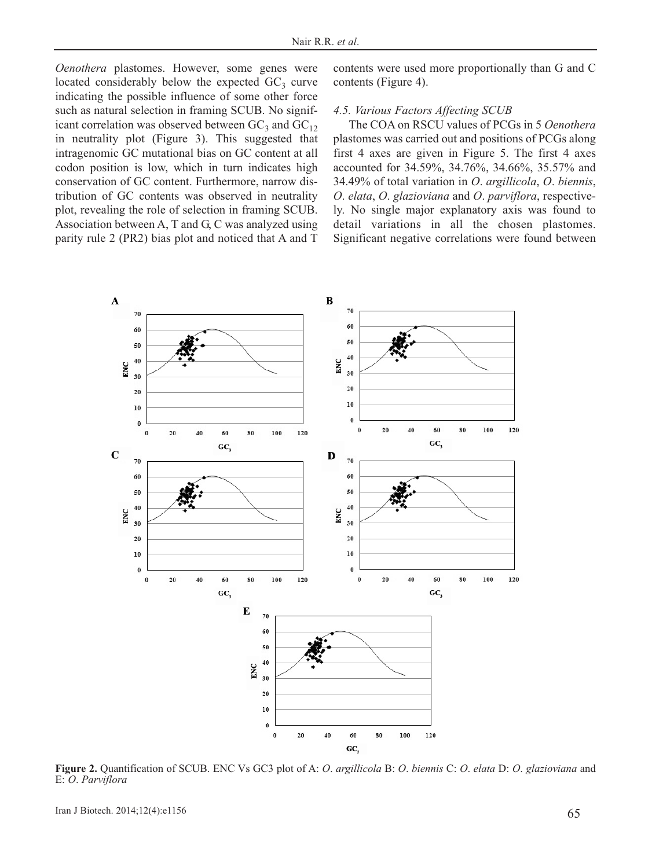*Oenothera* plastomes. However, some genes were located considerably below the expected  $GC_3$  curve indicating the possible influence of some other force such as natural selection in framing SCUB. No significant correlation was observed between  $GC_3$  and  $GC_{12}$ in neutrality plot (Figure 3). This suggested that intragenomic GC mutational bias on GC content at all codon position is low, which in turn indicates high conservation of GC content. Furthermore, narrow distribution of GC contents was observed in neutrality plot, revealing the role of selection in framing SCUB. Association between A, T and G, C was analyzed using parity rule 2 (PR2) bias plot and noticed that A and T contents were used more proportionally than G and C contents (Figure 4).

#### *4.5. Various Factors Affecting SCUB*

The COA on RSCU values of PCGs in 5 *Oenothera* plastomes was carried out and positions of PCGs along first 4 axes are given in Figure 5. The first 4 axes accounted for 34.59%, 34.76%, 34.66%, 35.57% and 34.49% of total variation in *O*. *argillicola*, *O*. *biennis*, *O*. *elata*, *O*. *glazioviana* and *O*. *parviflora*, respectively. No single major explanatory axis was found to detail variations in all the chosen plastomes. Significant negative correlations were found between



**Figure 2.** Quantification of SCUB. ENC Vs GC3 plot of A: *O*. *argillicola* B: *O*. *biennis* C: *O*. *elata* D: *O*. *glazioviana* and E: *O*. *Parviflora*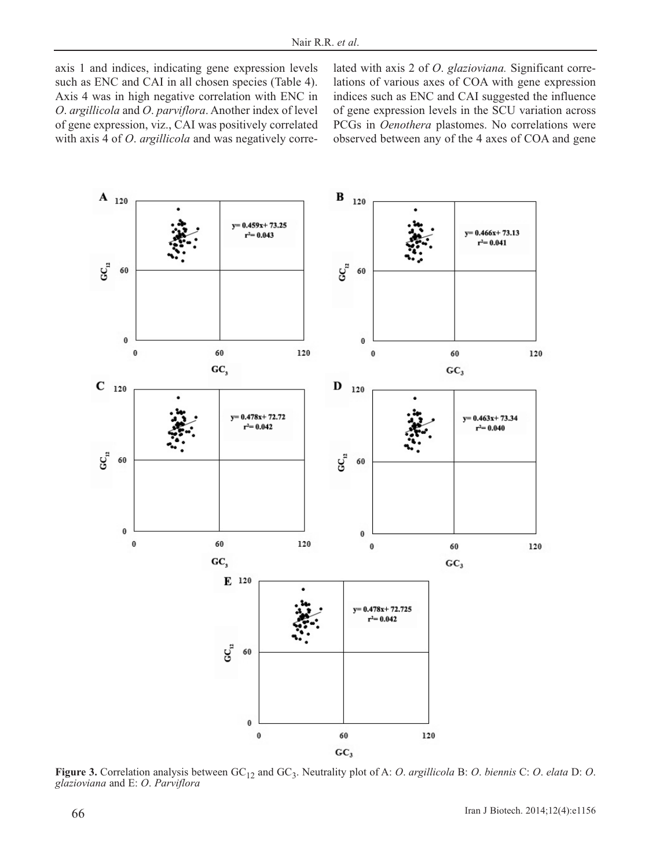axis 1 and indices, indicating gene expression levels such as ENC and CAI in all chosen species (Table 4). Axis 4 was in high negative correlation with ENC in *O*. *argillicola* and *O*. *parviflora*. Another index of level of gene expression, viz., CAI was positively correlated with axis 4 of *O*. *argillicola* and was negatively correlated with axis 2 of *O*. *glazioviana.* Significant correlations of various axes of COA with gene expression indices such as ENC and CAI suggested the influence of gene expression levels in the SCU variation across PCGs in *Oenothera* plastomes. No correlations were observed between any of the 4 axes of COA and gene



**Figure 3.** Correlation analysis between GC<sub>12</sub> and GC<sub>3</sub>. Neutrality plot of A: *O. argillicola* B: *O. biennis* C: *O. elata* D: *O. glazioviana* and E: *O. Parviflora*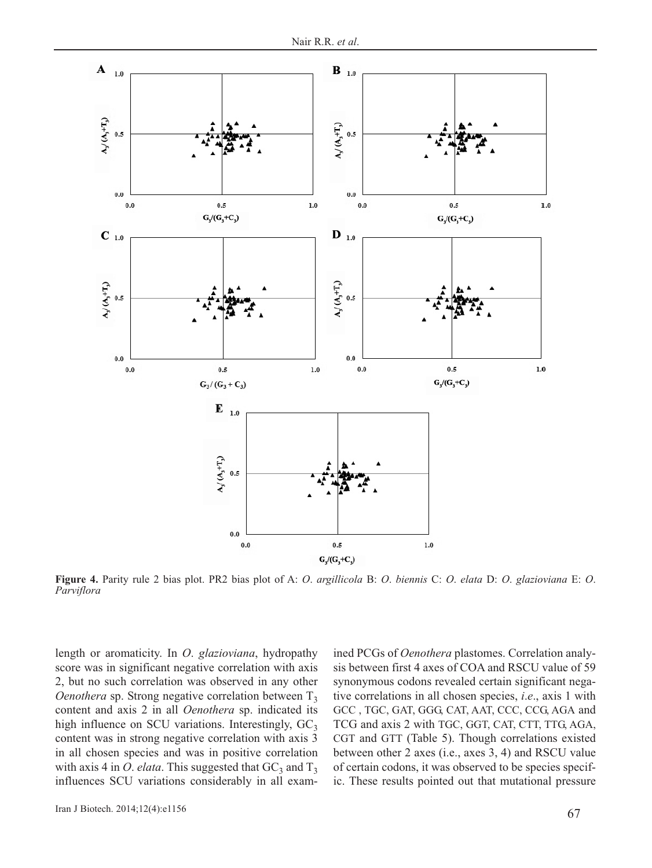

**Figure 4.** Parity rule 2 bias plot. PR2 bias plot of A: *O*. *argillicola* B: *O*. *biennis* C: *O*. *elata* D: *O*. *glazioviana* E: *O*. *Parviflora*

length or aromaticity. In *O*. *glazioviana*, hydropathy score was in significant negative correlation with axis 2, but no such correlation was observed in any other *Oenothera* sp. Strong negative correlation between  $T_3$ content and axis 2 in all *Oenothera* sp. indicated its high influence on SCU variations. Interestingly,  $GC_3$ content was in strong negative correlation with axis 3 in all chosen species and was in positive correlation with axis 4 in *O. elata*. This suggested that  $GC_3$  and  $T_3$ influences SCU variations considerably in all exam-

67 Iran J Biotech. 2014;12(4):e1156

ined PCGs of *Oenothera* plastomes. Correlation analysis between first 4 axes of COA and RSCU value of 59 synonymous codons revealed certain significant negative correlations in all chosen species, *i*.*e*., axis 1 with GCC , TGC, GAT, GGG, CAT, AAT, CCC, CCG, AGA and TCG and axis 2 with TGC, GGT, CAT, CTT, TTG, AGA, CGT and GTT (Table 5). Though correlations existed between other 2 axes (i.e., axes 3, 4) and RSCU value of certain codons, it was observed to be species specific. These results pointed out that mutational pressure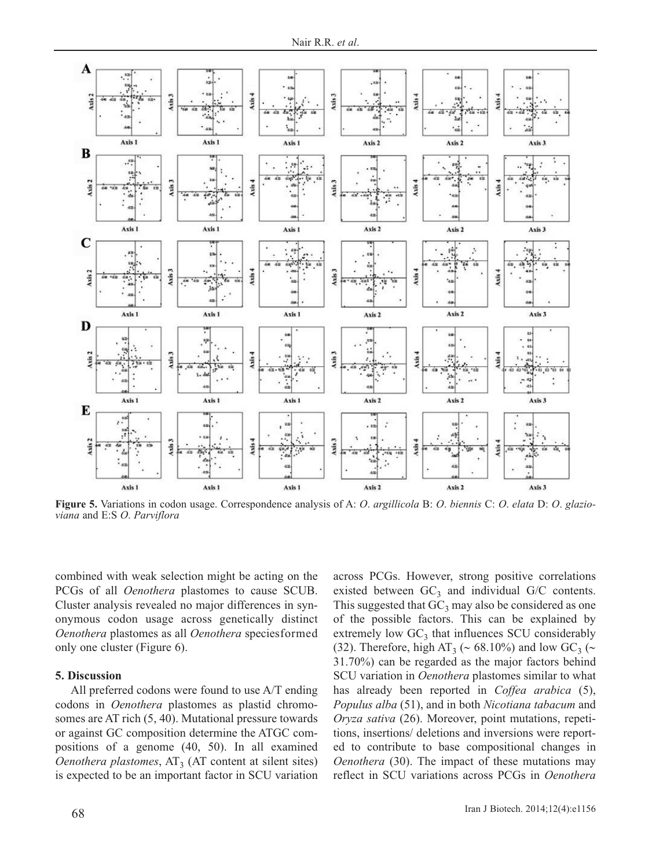

**Figure 5.** Variations in codon usage. Correspondence analysis of A: *O*. *argillicola* B: *O*. *biennis* C: *O*. *elata* D: *O*. *glazioviana* and E:S *O*. *Parviflora*

combined with weak selection might be acting on the PCGs of all *Oenothera* plastomes to cause SCUB. Cluster analysis revealed no major differences in synonymous codon usage across genetically distinct *Oenothera* plastomes as all *Oenothera* speciesformed only one cluster (Figure 6).

## **5. Discussion**

All preferred codons were found to use A/T ending codons in *Oenothera* plastomes as plastid chromosomes are AT rich (5, 40). Mutational pressure towards or against GC composition determine the ATGC compositions of a genome (40, 50). In all examined *Oenothera plastomes*,  $AT_3$  (AT content at silent sites) is expected to be an important factor in SCU variation across PCGs. However, strong positive correlations existed between  $GC_3$  and individual  $G/C$  contents. This suggested that  $GC_3$  may also be considered as one of the possible factors. This can be explained by extremely low  $GC_3$  that influences SCU considerably (32). Therefore, high AT<sub>3</sub> ( $\sim$  68.10%) and low GC<sub>3</sub> ( $\sim$ 31.70%) can be regarded as the major factors behind SCU variation in *Oenothera* plastomes similar to what has already been reported in *Coffea arabica* (5), *Populus alba* (51), and in both *Nicotiana tabacum* and *Oryza sativa* (26). Moreover, point mutations, repetitions, insertions/ deletions and inversions were reported to contribute to base compositional changes in *Oenothera* (30). The impact of these mutations may reflect in SCU variations across PCGs in *Oenothera*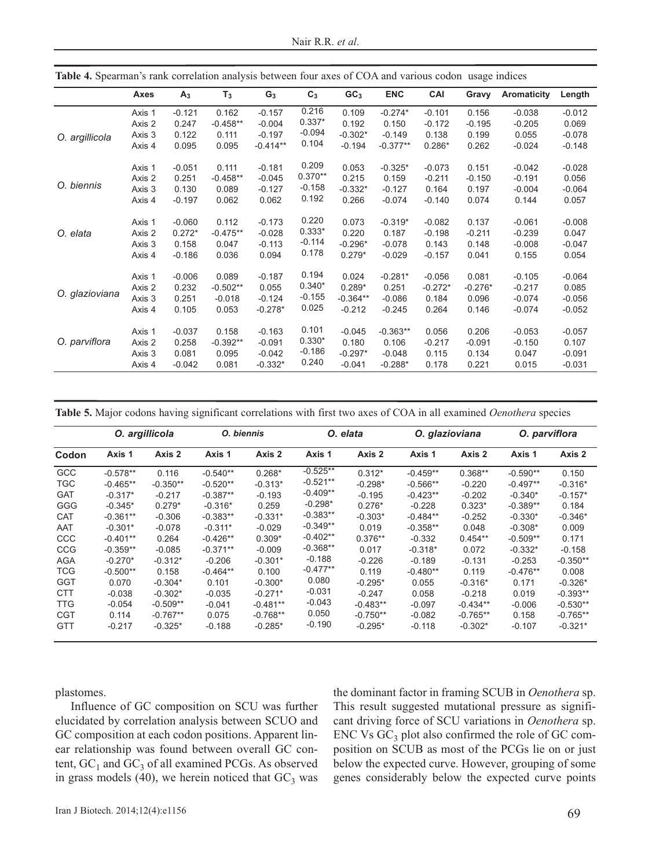| <b>Table 4.</b> Spearman's rank correlation analysis between four axes of COA and various codon usage indices |        |          |            |            |           |                 |                                                                                                                                                                                                                                                                                                                                                                                                                                                                                                                                                                                                                                                                                                                                                                                                                                                                                                                                                              |          |          |                    |          |
|---------------------------------------------------------------------------------------------------------------|--------|----------|------------|------------|-----------|-----------------|--------------------------------------------------------------------------------------------------------------------------------------------------------------------------------------------------------------------------------------------------------------------------------------------------------------------------------------------------------------------------------------------------------------------------------------------------------------------------------------------------------------------------------------------------------------------------------------------------------------------------------------------------------------------------------------------------------------------------------------------------------------------------------------------------------------------------------------------------------------------------------------------------------------------------------------------------------------|----------|----------|--------------------|----------|
|                                                                                                               | Axes   | $A_3$    | $T_3$      | $G_3$      | $C_3$     | GC <sub>3</sub> | <b>ENC</b>                                                                                                                                                                                                                                                                                                                                                                                                                                                                                                                                                                                                                                                                                                                                                                                                                                                                                                                                                   | CAI      | Gravy    | <b>Aromaticity</b> | Length   |
|                                                                                                               | Axis 1 | $-0.121$ | 0.162      | $-0.157$   | 0.216     | 0.109           | $-0.274*$                                                                                                                                                                                                                                                                                                                                                                                                                                                                                                                                                                                                                                                                                                                                                                                                                                                                                                                                                    | $-0.101$ | 0.156    | $-0.038$           | $-0.012$ |
|                                                                                                               | Axis 2 | 0.247    | $-0.458**$ | $-0.004$   | $0.337*$  | 0.192           | 0.150                                                                                                                                                                                                                                                                                                                                                                                                                                                                                                                                                                                                                                                                                                                                                                                                                                                                                                                                                        | $-0.172$ | $-0.195$ | $-0.205$           | 0.069    |
| O. argillicola                                                                                                | Axis 3 | 0.122    | 0.111      | $-0.197$   | $-0.094$  | $-0.302*$       | $-0.149$                                                                                                                                                                                                                                                                                                                                                                                                                                                                                                                                                                                                                                                                                                                                                                                                                                                                                                                                                     | 0.138    | 0.199    | 0.055              | $-0.078$ |
|                                                                                                               | Axis 4 | 0.095    | 0.095      | $-0.414**$ | 0.104     | $-0.194$        | $-0.377**$<br>$0.286*$<br>0.262<br>$-0.148$<br>$-0.024$<br>$-0.325*$<br>0.151<br>$-0.042$<br>$-0.028$<br>$-0.073$<br>$-0.211$<br>$-0.150$<br>0.159<br>$-0.191$<br>0.056<br>$-0.127$<br>0.164<br>0.197<br>$-0.004$<br>$-0.064$<br>$-0.074$<br>$-0.140$<br>0.074<br>0.144<br>0.057<br>$-0.319*$<br>0.137<br>$-0.061$<br>$-0.008$<br>$-0.082$<br>$-0.198$<br>$-0.211$<br>0.047<br>0.187<br>$-0.239$<br>$-0.078$<br>0.143<br>0.148<br>$-0.008$<br>$-0.047$<br>$-0.029$<br>0.041<br>0.155<br>0.054<br>$-0.157$<br>$-0.281*$<br>$-0.056$<br>0.081<br>$-0.105$<br>$-0.064$<br>$-0.272*$<br>0.085<br>0.251<br>$-0.276*$<br>$-0.217$<br>0.184<br>$-0.086$<br>0.096<br>$-0.056$<br>$-0.074$<br>$-0.245$<br>0.264<br>0.146<br>$-0.074$<br>$-0.052$<br>$-0.363**$<br>0.056<br>0.206<br>$-0.053$<br>$-0.057$<br>0.106<br>$-0.217$<br>$-0.091$<br>$-0.150$<br>0.107<br>0.115<br>$-0.048$<br>0.134<br>0.047<br>$-0.091$<br>$-0.288*$<br>0.178<br>0.221<br>0.015<br>$-0.031$ |          |          |                    |          |
|                                                                                                               | Axis 1 | $-0.051$ | 0.111      | $-0.181$   | 0.209     | 0.053           |                                                                                                                                                                                                                                                                                                                                                                                                                                                                                                                                                                                                                                                                                                                                                                                                                                                                                                                                                              |          |          |                    |          |
|                                                                                                               | Axis 2 | 0.251    | $-0.458**$ | $-0.045$   | $0.370**$ | 0.215           |                                                                                                                                                                                                                                                                                                                                                                                                                                                                                                                                                                                                                                                                                                                                                                                                                                                                                                                                                              |          |          |                    |          |
| O. biennis                                                                                                    | Axis 3 | 0.130    | 0.089      | $-0.127$   | $-0.158$  | $-0.332*$       |                                                                                                                                                                                                                                                                                                                                                                                                                                                                                                                                                                                                                                                                                                                                                                                                                                                                                                                                                              |          |          |                    |          |
|                                                                                                               | Axis 4 | $-0.197$ | 0.062      | 0.062      | 0.192     | 0.266           |                                                                                                                                                                                                                                                                                                                                                                                                                                                                                                                                                                                                                                                                                                                                                                                                                                                                                                                                                              |          |          |                    |          |
|                                                                                                               | Axis 1 | $-0.060$ | 0.112      | $-0.173$   | 0.220     | 0.073           |                                                                                                                                                                                                                                                                                                                                                                                                                                                                                                                                                                                                                                                                                                                                                                                                                                                                                                                                                              |          |          |                    |          |
| O. elata                                                                                                      | Axis 2 | $0.272*$ | $-0.475**$ | $-0.028$   | $0.333*$  | 0.220           |                                                                                                                                                                                                                                                                                                                                                                                                                                                                                                                                                                                                                                                                                                                                                                                                                                                                                                                                                              |          |          |                    |          |
|                                                                                                               | Axis 3 | 0.158    | 0.047      | $-0.113$   | $-0.114$  | $-0.296*$       |                                                                                                                                                                                                                                                                                                                                                                                                                                                                                                                                                                                                                                                                                                                                                                                                                                                                                                                                                              |          |          |                    |          |
|                                                                                                               | Axis 4 | $-0.186$ | 0.036      | 0.094      | 0.178     | $0.279*$        |                                                                                                                                                                                                                                                                                                                                                                                                                                                                                                                                                                                                                                                                                                                                                                                                                                                                                                                                                              |          |          |                    |          |
|                                                                                                               | Axis 1 | $-0.006$ | 0.089      | $-0.187$   | 0.194     | 0.024           |                                                                                                                                                                                                                                                                                                                                                                                                                                                                                                                                                                                                                                                                                                                                                                                                                                                                                                                                                              |          |          |                    |          |
|                                                                                                               | Axis 2 | 0.232    | $-0.502**$ | 0.055      | $0.340*$  | $0.289*$        |                                                                                                                                                                                                                                                                                                                                                                                                                                                                                                                                                                                                                                                                                                                                                                                                                                                                                                                                                              |          |          |                    |          |
| O. glazioviana                                                                                                | Axis 3 | 0.251    | $-0.018$   | $-0.124$   | $-0.155$  | $-0.364**$      |                                                                                                                                                                                                                                                                                                                                                                                                                                                                                                                                                                                                                                                                                                                                                                                                                                                                                                                                                              |          |          |                    |          |
|                                                                                                               | Axis 4 | 0.105    | 0.053      | $-0.278*$  | 0.025     | $-0.212$        |                                                                                                                                                                                                                                                                                                                                                                                                                                                                                                                                                                                                                                                                                                                                                                                                                                                                                                                                                              |          |          |                    |          |
|                                                                                                               | Axis 1 | $-0.037$ | 0.158      | $-0.163$   | 0.101     | $-0.045$        |                                                                                                                                                                                                                                                                                                                                                                                                                                                                                                                                                                                                                                                                                                                                                                                                                                                                                                                                                              |          |          |                    |          |
| O. parviflora                                                                                                 | Axis 2 | 0.258    | $-0.392**$ | $-0.091$   | $0.330*$  | 0.180           |                                                                                                                                                                                                                                                                                                                                                                                                                                                                                                                                                                                                                                                                                                                                                                                                                                                                                                                                                              |          |          |                    |          |
|                                                                                                               | Axis 3 | 0.081    | 0.095      | $-0.042$   | $-0.186$  | $-0.297*$       |                                                                                                                                                                                                                                                                                                                                                                                                                                                                                                                                                                                                                                                                                                                                                                                                                                                                                                                                                              |          |          |                    |          |
|                                                                                                               | Axis 4 | $-0.042$ | 0.081      | $-0.332*$  | 0.240     | $-0.041$        |                                                                                                                                                                                                                                                                                                                                                                                                                                                                                                                                                                                                                                                                                                                                                                                                                                                                                                                                                              |          |          |                    |          |

**Table 4.** Spearman's rank correlation analysis between four axes of COA and various codon usage indices

**Table 5.** Major codons having significant correlations with first two axes of COA in all examined *Oenothera* species

|            |            | O. argillicola |            | O. biennis |            | O. elata   |            | O. glazioviana | O. parviflora |            |
|------------|------------|----------------|------------|------------|------------|------------|------------|----------------|---------------|------------|
| Codon      | Axis 1     | Axis 2         | Axis 1     | Axis 2     | Axis 1     | Axis 2     | Axis 1     | Axis 2         | Axis 1        | Axis 2     |
| GCC        | $-0.578**$ | 0.116          | $-0.540**$ | $0.268*$   | $-0.525**$ | $0.312*$   | $-0.459**$ | $0.368**$      | $-0.590**$    | 0.150      |
| <b>TGC</b> | $-0.465**$ | $-0.350**$     | $-0.520**$ | $-0.313*$  | $-0.521**$ | $-0.298*$  | $-0.566**$ | $-0.220$       | $-0.497**$    | $-0.316*$  |
| <b>GAT</b> | $-0.317*$  | $-0.217$       | $-0.387**$ | $-0.193$   | $-0.409**$ | $-0.195$   | $-0.423**$ | $-0.202$       | $-0.340*$     | $-0.157*$  |
| GGG        | $-0.345*$  | $0.279*$       | $-0.316*$  | 0.259      | $-0.298*$  | $0.276*$   | $-0.228$   | $0.323*$       | $-0.389**$    | 0.184      |
| <b>CAT</b> | $-0.361**$ | $-0.306$       | $-0.383**$ | $-0.331*$  | $-0.383**$ | $-0.303*$  | $-0.484**$ | $-0.252$       | $-0.330*$     | $-0.346*$  |
| AAT        | $-0.301*$  | $-0.078$       | $-0.311*$  | $-0.029$   | $-0.349**$ | 0.019      | $-0.358**$ | 0.048          | $-0.308*$     | 0.009      |
| <b>CCC</b> | $-0.401**$ | 0.264          | $-0.426**$ | $0.309*$   | $-0.402**$ | $0.376**$  | $-0.332$   | $0.454**$      | $-0.509**$    | 0.171      |
| <b>CCG</b> | $-0.359**$ | $-0.085$       | $-0.371**$ | $-0.009$   | $-0.368**$ | 0.017      | $-0.318*$  | 0.072          | $-0.332*$     | $-0.158$   |
| <b>AGA</b> | $-0.270*$  | $-0.312*$      | $-0.206$   | $-0.301*$  | $-0.188$   | $-0.226$   | $-0.189$   | $-0.131$       | $-0.253$      | $-0.350**$ |
| <b>TCG</b> | $-0.500**$ | 0.158          | $-0.464**$ | 0.100      | $-0.477**$ | 0.119      | $-0.480**$ | 0.119          | $-0.476**$    | 0.008      |
| <b>GGT</b> | 0.070      | $-0.304*$      | 0.101      | $-0.300*$  | 0.080      | $-0.295*$  | 0.055      | $-0.316*$      | 0.171         | $-0.326*$  |
| <b>CTT</b> | $-0.038$   | $-0.302*$      | $-0.035$   | $-0.271*$  | $-0.031$   | $-0.247$   | 0.058      | $-0.218$       | 0.019         | $-0.393**$ |
| <b>TTG</b> | $-0.054$   | $-0.509**$     | $-0.041$   | $-0.481**$ | $-0.043$   | $-0.483**$ | $-0.097$   | $-0.434**$     | $-0.006$      | $-0.530**$ |
| <b>CGT</b> | 0.114      | $-0.767**$     | 0.075      | $-0.768**$ | 0.050      | $-0.750**$ | $-0.082$   | $-0.765**$     | 0.158         | $-0.765**$ |
| <b>GTT</b> | $-0.217$   | $-0.325*$      | $-0.188$   | $-0.285*$  | $-0.190$   | $-0.295*$  | $-0.118$   | $-0.302*$      | $-0.107$      | $-0.321*$  |

plastomes.

Influence of GC composition on SCU was further elucidated by correlation analysis between SCUO and GC composition at each codon positions. Apparent linear relationship was found between overall GC content,  $GC_1$  and  $GC_3$  of all examined PCGs. As observed in grass models (40), we herein noticed that  $GC_3$  was

the dominant factor in framing SCUB in *Oenothera* sp. This result suggested mutational pressure as significant driving force of SCU variations in *Oenothera* sp. ENC Vs  $GC_3$  plot also confirmed the role of  $GC$  composition on SCUB as most of the PCGs lie on or just below the expected curve. However, grouping of some genes considerably below the expected curve points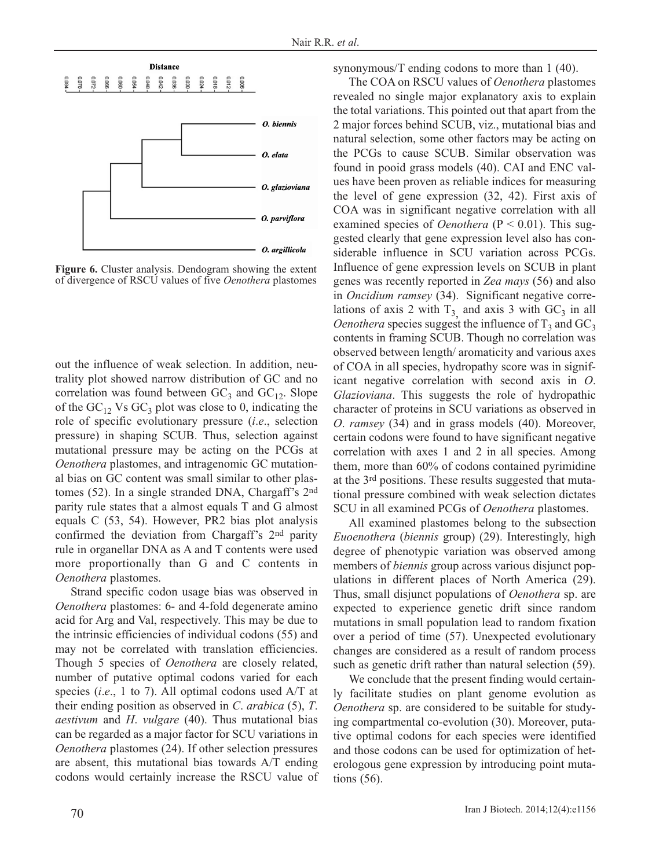

**Figure 6.** Cluster analysis. Dendogram showing the extent of divergence of RSCU values of five *Oenothera* plastomes

out the influence of weak selection. In addition, neutrality plot showed narrow distribution of GC and no correlation was found between  $GC_3$  and  $GC_{12}$ . Slope of the  $GC_1$ , Vs  $GC_3$  plot was close to 0, indicating the role of specific evolutionary pressure (*i*.*e*., selection pressure) in shaping SCUB. Thus, selection against mutational pressure may be acting on the PCGs at *Oenothera* plastomes, and intragenomic GC mutational bias on GC content was small similar to other plastomes (52). In a single stranded DNA, Chargaff's 2nd parity rule states that a almost equals T and G almost equals C (53, 54). However, PR2 bias plot analysis confirmed the deviation from Chargaff's 2nd parity rule in organellar DNA as A and T contents were used more proportionally than G and C contents in *Oenothera* plastomes.

Strand specific codon usage bias was observed in *Oenothera* plastomes: 6- and 4-fold degenerate amino acid for Arg and Val, respectively. This may be due to the intrinsic efficiencies of individual codons (55) and may not be correlated with translation efficiencies. Though 5 species of *Oenothera* are closely related, number of putative optimal codons varied for each species (*i*.*e*., 1 to 7). All optimal codons used A/T at their ending position as observed in *C*. *arabica* (5), *T*. *aestivum* and *H*. *vulgare* (40). Thus mutational bias can be regarded as a major factor for SCU variations in *Oenothera* plastomes (24). If other selection pressures are absent, this mutational bias towards A/T ending codons would certainly increase the RSCU value of synonymous/T ending codons to more than 1 (40).

The COA on RSCU values of *Oenothera* plastomes revealed no single major explanatory axis to explain the total variations. This pointed out that apart from the 2 major forces behind SCUB, viz., mutational bias and natural selection, some other factors may be acting on the PCGs to cause SCUB. Similar observation was found in pooid grass models (40). CAI and ENC values have been proven as reliable indices for measuring the level of gene expression (32, 42). First axis of COA was in significant negative correlation with all examined species of *Oenothera* (P < 0.01). This suggested clearly that gene expression level also has considerable influence in SCU variation across PCGs. Influence of gene expression levels on SCUB in plant genes was recently reported in *Zea mays* (56) and also in *Oncidium ramsey* (34). Significant negative correlations of axis 2 with  $T_3$  and axis 3 with  $GC_3$  in all *Oenothera* species suggest the influence of  $T_3$  and  $GC_3$ contents in framing SCUB. Though no correlation was observed between length/ aromaticity and various axes of COA in all species, hydropathy score was in significant negative correlation with second axis in *O*. *Glazioviana*. This suggests the role of hydropathic character of proteins in SCU variations as observed in *O*. *ramsey* (34) and in grass models (40). Moreover, certain codons were found to have significant negative correlation with axes 1 and 2 in all species. Among them, more than 60% of codons contained pyrimidine at the 3rd positions. These results suggested that mutational pressure combined with weak selection dictates SCU in all examined PCGs of *Oenothera* plastomes.

All examined plastomes belong to the subsection *Euoenothera* (*biennis* group) (29). Interestingly, high degree of phenotypic variation was observed among members of *biennis* group across various disjunct populations in different places of North America (29). Thus, small disjunct populations of *Oenothera* sp. are expected to experience genetic drift since random mutations in small population lead to random fixation over a period of time (57). Unexpected evolutionary changes are considered as a result of random process such as genetic drift rather than natural selection (59).

We conclude that the present finding would certainly facilitate studies on plant genome evolution as *Oenothera* sp. are considered to be suitable for studying compartmental co-evolution (30). Moreover, putative optimal codons for each species were identified and those codons can be used for optimization of heterologous gene expression by introducing point mutations (56).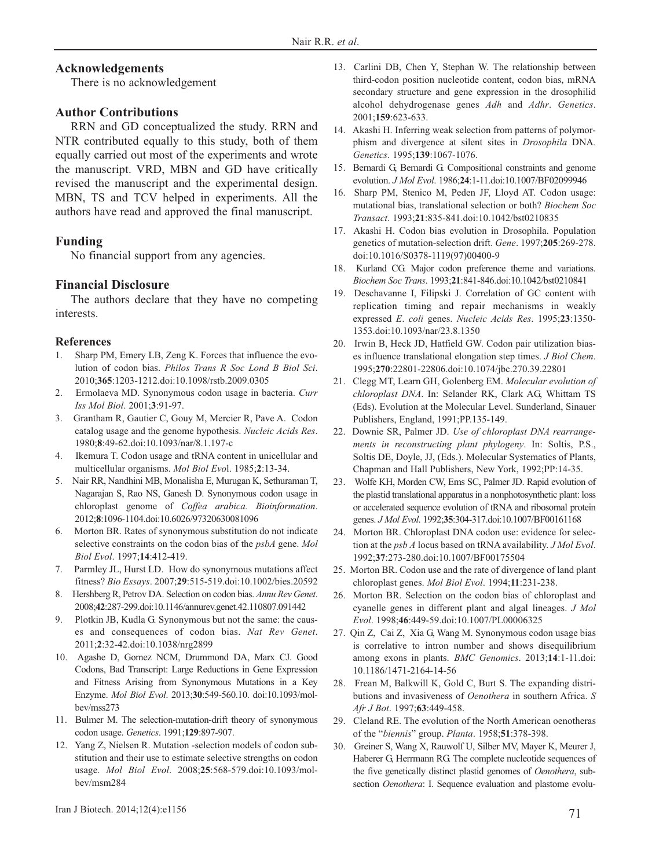# **Acknowledgements**

There is no acknowledgement

## **Author Contributions**

RRN and GD conceptualized the study. RRN and NTR contributed equally to this study, both of them equally carried out most of the experiments and wrote the manuscript. VRD, MBN and GD have critically revised the manuscript and the experimental design. MBN, TS and TCV helped in experiments. All the authors have read and approved the final manuscript.

# **Funding**

No financial support from any agencies.

## **Financial Disclosure**

The authors declare that they have no competing interests.

#### **References**

- Sharp PM, Emery LB, Zeng K. Forces that influence the evolution of codon bias. *Philos Trans R Soc Lond B Biol Sci*. 2010;**365**:1203-1212.doi:10.1098/rstb.2009.0305
- 2. Ermolaeva MD. Synonymous codon usage in bacteria. *Curr Iss Mol Biol*. 2001;**3**:91-97.
- 3. Grantham R, Gautier C, Gouy M, Mercier R, Pave A. Codon catalog usage and the genome hypothesis. *Nucleic Acids Res*. 1980;**8**:49-62.doi:10.1093/nar/8.1.197-c
- 4. Ikemura T. Codon usage and tRNA content in unicellular and multicellular organisms. *Mol Biol Evo*l. 1985;**2**:13-34.
- 5. Nair RR, Nandhini MB, Monalisha E, Murugan K, Sethuraman T, Nagarajan S, Rao NS, Ganesh D. Synonymous codon usage in chloroplast genome of *Coffea arabica. Bioinformation*. 2012;**8**:1096-1104.doi:10.6026/97320630081096
- 6. Morton BR. Rates of synonymous substitution do not indicate selective constraints on the codon bias of the *psbA* gene. *Mol Biol Evol*. 1997;**14**:412-419.
- 7. Parmley JL, Hurst LD. How do synonymous mutations affect fitness? *Bio Essays*. 2007;**29**:515-519.doi:10.1002/bies.20592
- 8. Hershberg R, Petrov DA. Selection on codon bias. *Annu Rev Genet*. 2008;**42**:287-299.doi:10.1146/annurev.genet.42.110807.091442
- 9. Plotkin JB, Kudla G. Synonymous but not the same: the causes and consequences of codon bias. *Nat Rev Genet*. 2011;**2**:32-42.doi:10.1038/nrg2899
- 10. Agashe D, Gomez NCM, Drummond DA, Marx CJ. Good Codons, Bad Transcript: Large Reductions in Gene Expression and Fitness Arising from Synonymous Mutations in a Key Enzyme. *Mol Biol Evol*. 2013;**30**:549-560.10. doi:10.1093/molbev/mss273
- 11. Bulmer M. The selection-mutation-drift theory of synonymous codon usage. *Genetics*. 1991;**129**:897-907.
- 12. Yang Z, Nielsen R. Mutation -selection models of codon substitution and their use to estimate selective strengths on codon usage. *Mol Biol Evol*. 2008;**25**:568-579.doi:10.1093/molbev/msm284
- 13. Carlini DB, Chen Y, Stephan W. The relationship between third-codon position nucleotide content, codon bias, mRNA secondary structure and gene expression in the drosophilid alcohol dehydrogenase genes *Adh* and *Adhr*. *Genetics*. 2001;**159**:623-633.
- 14. Akashi H. Inferring weak selection from patterns of polymorphism and divergence at silent sites in *Drosophila* DNA*. Genetics*. 1995;**139**:1067-1076.
- 15. Bernardi G, Bernardi G. Compositional constraints and genome evolution. *J Mol Evol*. 1986;**24**:1-11.doi:10.1007/BF02099946
- 16. Sharp PM, Stenico M, Peden JF, Lloyd AT. Codon usage: mutational bias, translational selection or both? *Biochem Soc Transact*. 1993;**21**:835-841.doi:10.1042/bst0210835
- 17. Akashi H. Codon bias evolution in Drosophila. Population genetics of mutation-selection drift. *Gene*. 1997;**205**:269-278. doi:10.1016/S0378-1119(97)00400-9
- 18. Kurland CG. Major codon preference theme and variations. *Biochem Soc Trans*. 1993;**21**:841-846.doi:10.1042/bst0210841
- 19. Deschavanne I, Filipski J. Correlation of GC content with replication timing and repair mechanisms in weakly expressed *E*. *coli* genes. *Nucleic Acids Res*. 1995;**23**:1350- 1353.doi:10.1093/nar/23.8.1350
- 20. Irwin B, Heck JD, Hatfield GW. Codon pair utilization biases influence translational elongation step times. *J Biol Chem*. 1995;**270**:22801-22806.doi:10.1074/jbc.270.39.22801
- 21. Clegg MT, Learn GH, Golenberg EM. *Molecular evolution of chloroplast DNA*. In: Selander RK, Clark AG, Whittam TS (Eds). Evolution at the Molecular Level. Sunderland, Sinauer Publishers, England, 1991;PP.135-149.
- 22. Downie SR, Palmer JD. *Use of chloroplast DNA rearrangements in reconstructing plant phylogeny*. In: Soltis, P.S., Soltis DE, Doyle, JJ, (Eds.). Molecular Systematics of Plants, Chapman and Hall Publishers, New York, 1992;PP:14-35.
- 23. Wolfe KH, Morden CW, Ems SC, Palmer JD. Rapid evolution of the plastid translational apparatus in a nonphotosynthetic plant: loss or accelerated sequence evolution of tRNA and ribosomal protein genes. *J Mol Evol*. 1992;**35**:304-317.doi:10.1007/BF00161168
- 24. Morton BR. Chloroplast DNA codon use: evidence for selection at the *psb A* locus based on tRNA availability. *J Mol Evol*. 1992;**37**:273-280.doi:10.1007/BF00175504
- 25. Morton BR. Codon use and the rate of divergence of land plant chloroplast genes. *Mol Biol Evol*. 1994;**11**:231-238.
- 26. Morton BR. Selection on the codon bias of chloroplast and cyanelle genes in different plant and algal lineages. *J Mol Evol*. 1998;**46**:449-59.doi:10.1007/PL00006325
- 27. Qin Z, Cai Z, Xia G, Wang M. Synonymous codon usage bias is correlative to intron number and shows disequilibrium among exons in plants. *BMC Genomics*. 2013;**14**:1-11.doi: 10.1186/1471-2164-14-56
- 28. Frean M, Balkwill K, Gold C, Burt S. The expanding distributions and invasiveness of *Oenothera* in southern Africa. *S Afr J Bot*. 1997;**63**:449-458.
- 29. Cleland RE. The evolution of the North American oenotheras of the "*biennis*" group. *Planta*. 1958;**51**:378-398.
- 30. Greiner S, Wang X, Rauwolf U, Silber MV, Mayer K, Meurer J, Haberer G, Herrmann RG. The complete nucleotide sequences of the five genetically distinct plastid genomes of *Oenothera*, subsection *Oenothera*: I. Sequence evaluation and plastome evolu-